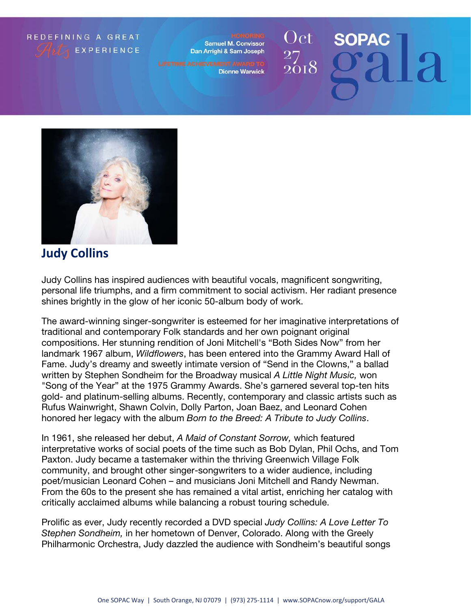## REDEFINING A GREAT **EXPERIENCE**

**Samuel M. Convissor** Dan Arrighi & Sam Joseph

**Dionne Warwick** 

## Oct **SOPAC**  $_{2018}^{\rm -2}$



## **Judy Collins**

Judy Collins has inspired audiences with beautiful vocals, magnificent songwriting, personal life triumphs, and a firm commitment to social activism. Her radiant presence shines brightly in the glow of her iconic 50-album body of work.

The award-winning singer-songwriter is esteemed for her imaginative interpretations of traditional and contemporary Folk standards and her own poignant original compositions. Her stunning rendition of Joni Mitchell's "Both Sides Now" from her landmark 1967 album, Wildflowers, has been entered into the Grammy Award Hall of Fame. Judy's dreamy and sweetly intimate version of "Send in the Clowns," a ballad written by Stephen Sondheim for the Broadway musical A Little Night Music, won "Song of the Year" at the 1975 Grammy Awards. She's garnered several top-ten hits gold- and platinum-selling albums. Recently, contemporary and classic artists such as Rufus Wainwright, Shawn Colvin, Dolly Parton, Joan Baez, and Leonard Cohen honored her legacy with the album Born to the Breed: A Tribute to Judy Collins.

In 1961, she released her debut, A Maid of Constant Sorrow, which featured interpretative works of social poets of the time such as Bob Dylan, Phil Ochs, and Tom Paxton. Judy became a tastemaker within the thriving Greenwich Village Folk community, and brought other singer-songwriters to a wider audience, including poet/musician Leonard Cohen – and musicians Joni Mitchell and Randy Newman. From the 60s to the present she has remained a vital artist, enriching her catalog with critically acclaimed albums while balancing a robust touring schedule.

Prolific as ever, Judy recently recorded a DVD special Judy Collins: A Love Letter To Stephen Sondheim, in her hometown of Denver, Colorado. Along with the Greely Philharmonic Orchestra, Judy dazzled the audience with Sondheim's beautiful songs